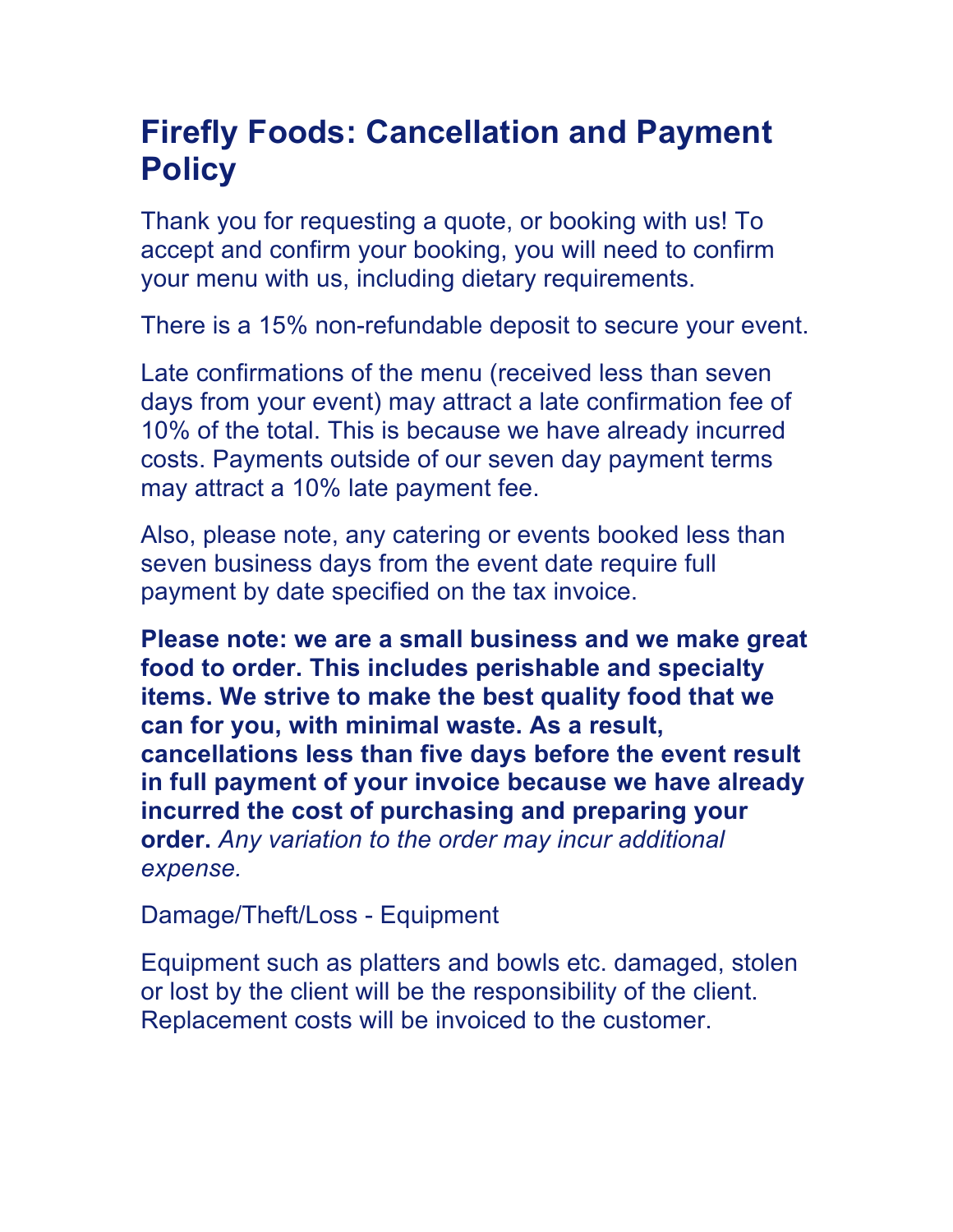## **Firefly Foods: Cancellation and Payment Policy**

Thank you for requesting a quote, or booking with us! To accept and confirm your booking, you will need to confirm your menu with us, including dietary requirements.

There is a 15% non-refundable deposit to secure your event.

Late confirmations of the menu (received less than seven days from your event) may attract a late confirmation fee of 10% of the total. This is because we have already incurred costs. Payments outside of our seven day payment terms may attract a 10% late payment fee.

Also, please note, any catering or events booked less than seven business days from the event date require full payment by date specified on the tax invoice.

**Please note: we are a small business and we make great food to order. This includes perishable and specialty items. We strive to make the best quality food that we can for you, with minimal waste. As a result, cancellations less than five days before the event result in full payment of your invoice because we have already incurred the cost of purchasing and preparing your order.** *Any variation to the order may incur additional expense.* 

Damage/Theft/Loss - Equipment

Equipment such as platters and bowls etc. damaged, stolen or lost by the client will be the responsibility of the client. Replacement costs will be invoiced to the customer.